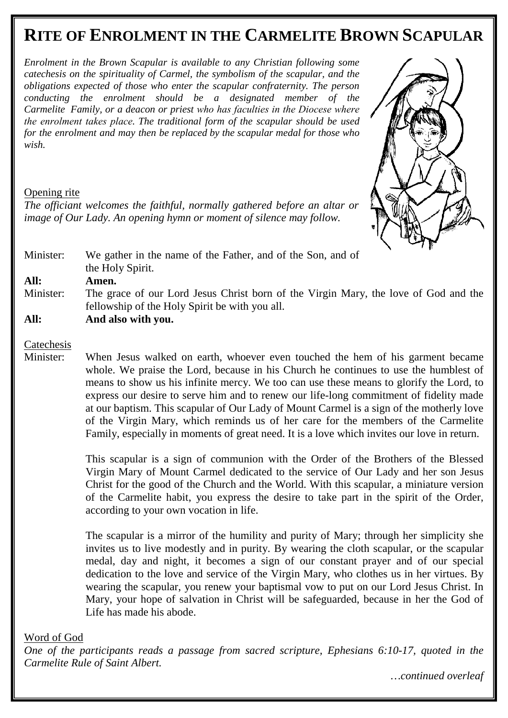# **RITE OF ENROLMENT IN THE CARMELITE BROWN SCAPULAR**

*Enrolment in the Brown Scapular is available to any Christian following some catechesis on the spirituality of Carmel, the symbolism of the scapular, and the obligations expected of those who enter the scapular confraternity. The person conducting the enrolment should be a designated member of the Carmelite Family, or a deacon or priest who has faculties in the Diocese where the enrolment takes place. The traditional form of the scapular should be used for the enrolment and may then be replaced by the scapular medal for those who wish.* 

### Opening rite

*The officiant welcomes the faithful, normally gathered before an altar or image of Our Lady. An opening hymn or moment of silence may follow.* 



Minister: We gather in the name of the Father, and of the Son, and of the Holy Spirit.

**All: Amen.** 

Minister: The grace of our Lord Jesus Christ born of the Virgin Mary, the love of God and the fellowship of the Holy Spirit be with you all.

**All: And also with you.** 

### **Catechesis**

Minister: When Jesus walked on earth, whoever even touched the hem of his garment became whole. We praise the Lord, because in his Church he continues to use the humblest of means to show us his infinite mercy. We too can use these means to glorify the Lord, to express our desire to serve him and to renew our life-long commitment of fidelity made at our baptism. This scapular of Our Lady of Mount Carmel is a sign of the motherly love of the Virgin Mary, which reminds us of her care for the members of the Carmelite Family, especially in moments of great need. It is a love which invites our love in return.

> This scapular is a sign of communion with the Order of the Brothers of the Blessed Virgin Mary of Mount Carmel dedicated to the service of Our Lady and her son Jesus Christ for the good of the Church and the World. With this scapular, a miniature version of the Carmelite habit, you express the desire to take part in the spirit of the Order, according to your own vocation in life.

> The scapular is a mirror of the humility and purity of Mary; through her simplicity she invites us to live modestly and in purity. By wearing the cloth scapular, or the scapular medal, day and night, it becomes a sign of our constant prayer and of our special dedication to the love and service of the Virgin Mary, who clothes us in her virtues. By wearing the scapular, you renew your baptismal vow to put on our Lord Jesus Christ. In Mary, your hope of salvation in Christ will be safeguarded, because in her the God of Life has made his abode.

#### Word of God

*One of the participants reads a passage from sacred scripture, Ephesians 6:10-17, quoted in the Carmelite Rule of Saint Albert.* 

*…continued overleaf*